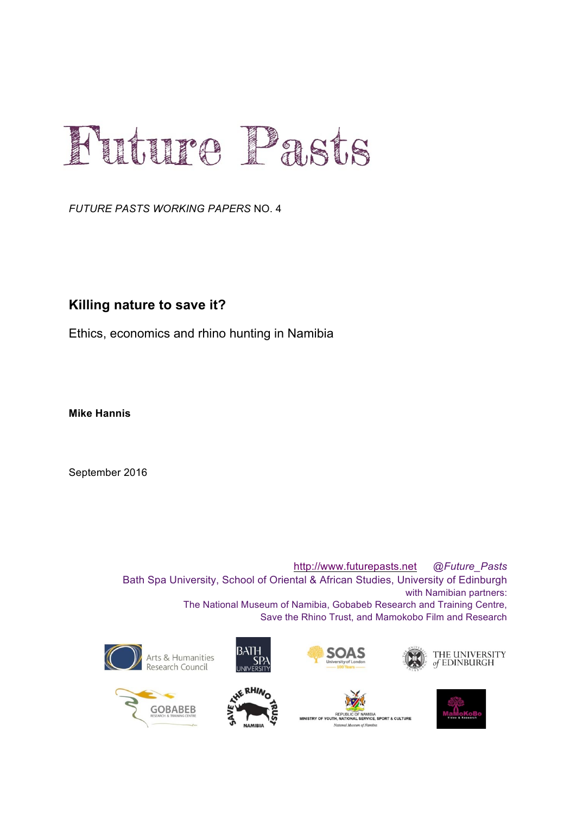# Future Pasts

*FUTURE PASTS WORKING PAPERS* NO. 4

#### **Killing nature to save it?**

Ethics, economics and rhino hunting in Namibia

**Mike Hannis**

September 2016

http://www.futurepasts.net *@Future\_Pasts* Bath Spa University, School of Oriental & African Studies, University of Edinburgh with Namibian partners: The National Museum of Namibia, Gobabeb Research and Training Centre, Save the Rhino Trust, and Mamokobo Film and Research















IA<br>E SPORT & CIII THRE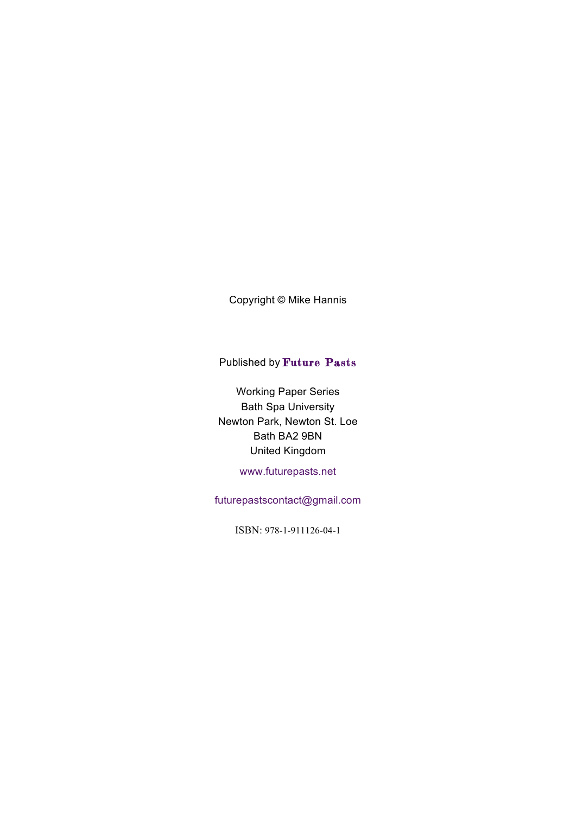Copyright © Mike Hannis

#### Published by Future Pasts

Working Paper Series Bath Spa University Newton Park, Newton St. Loe Bath BA2 9BN United Kingdom

www.futurepasts.net

futurepastscontact@gmail.com

ISBN: 978-1-911126-04-1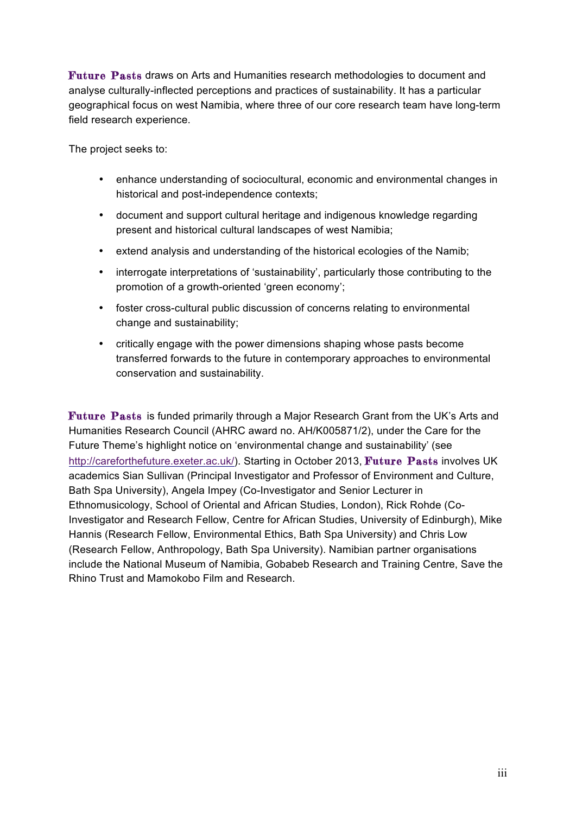Future Pasts draws on Arts and Humanities research methodologies to document and analyse culturally-inflected perceptions and practices of sustainability. It has a particular geographical focus on west Namibia, where three of our core research team have long-term field research experience.

The project seeks to:

- enhance understanding of sociocultural, economic and environmental changes in historical and post-independence contexts;
- document and support cultural heritage and indigenous knowledge regarding present and historical cultural landscapes of west Namibia;
- extend analysis and understanding of the historical ecologies of the Namib;
- interrogate interpretations of 'sustainability', particularly those contributing to the promotion of a growth-oriented 'green economy';
- foster cross-cultural public discussion of concerns relating to environmental change and sustainability;
- critically engage with the power dimensions shaping whose pasts become transferred forwards to the future in contemporary approaches to environmental conservation and sustainability.

Future Pasts is funded primarily through a Major Research Grant from the UK's Arts and Humanities Research Council (AHRC award no. AH/K005871/2), under the Care for the Future Theme's highlight notice on 'environmental change and sustainability' (see http://careforthefuture.exeter.ac.uk/). Starting in October 2013, Future Pasts involves UK academics Sian Sullivan (Principal Investigator and Professor of Environment and Culture, Bath Spa University), Angela Impey (Co-Investigator and Senior Lecturer in Ethnomusicology, School of Oriental and African Studies, London), Rick Rohde (Co-Investigator and Research Fellow, Centre for African Studies, University of Edinburgh), Mike Hannis (Research Fellow, Environmental Ethics, Bath Spa University) and Chris Low (Research Fellow, Anthropology, Bath Spa University). Namibian partner organisations include the National Museum of Namibia, Gobabeb Research and Training Centre, Save the Rhino Trust and Mamokobo Film and Research.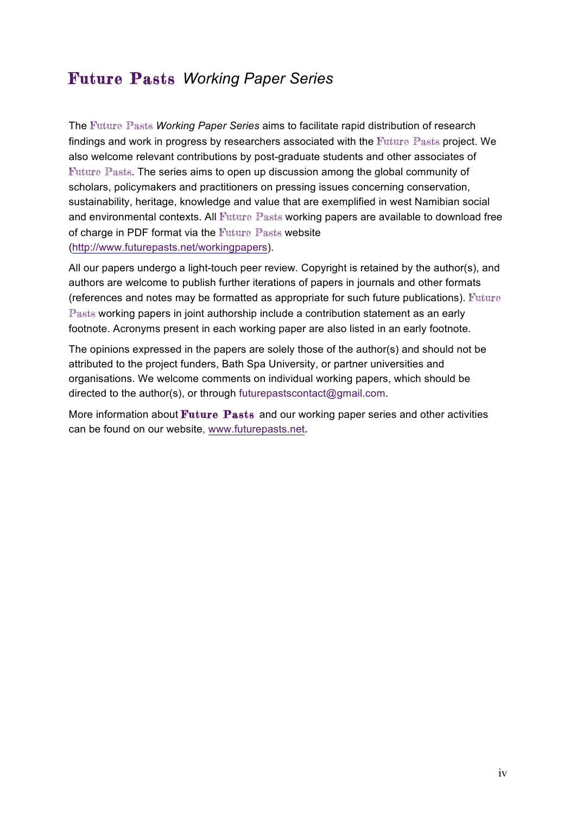## Future Pasts *Working Paper Series*

The Future Pasts *Working Paper Series* aims to facilitate rapid distribution of research findings and work in progress by researchers associated with the Future Pasts project. We also welcome relevant contributions by post-graduate students and other associates of Future Pasts. The series aims to open up discussion among the global community of scholars, policymakers and practitioners on pressing issues concerning conservation, sustainability, heritage, knowledge and value that are exemplified in west Namibian social and environmental contexts. All Future Pasts working papers are available to download free of charge in PDF format via the Future Pasts website (http://www.futurepasts.net/workingpapers).

All our papers undergo a light-touch peer review. Copyright is retained by the author(s), and authors are welcome to publish further iterations of papers in journals and other formats (references and notes may be formatted as appropriate for such future publications). Future Pasts working papers in joint authorship include a contribution statement as an early footnote. Acronyms present in each working paper are also listed in an early footnote.

The opinions expressed in the papers are solely those of the author(s) and should not be attributed to the project funders, Bath Spa University, or partner universities and organisations. We welcome comments on individual working papers, which should be directed to the author(s), or through futurepastscontact@gmail.com.

More information about Future Pasts and our working paper series and other activities can be found on our website, www.futurepasts.net**.**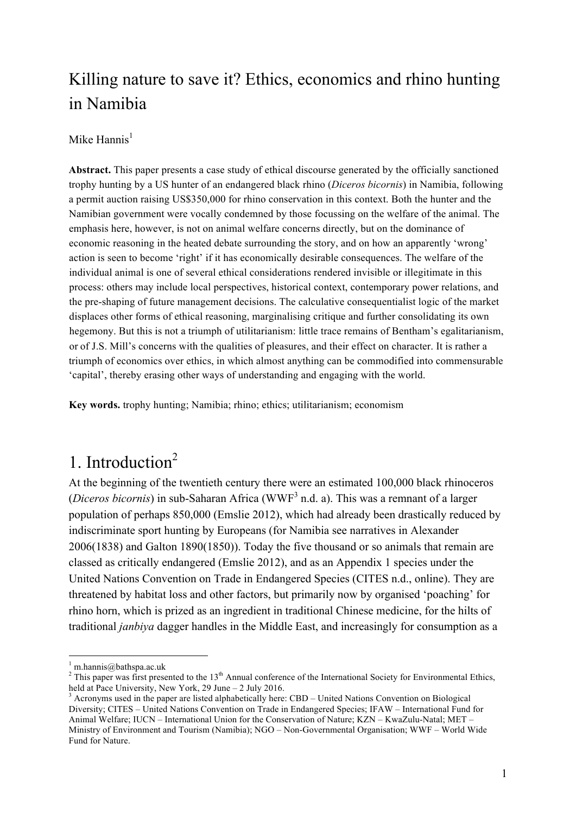# Killing nature to save it? Ethics, economics and rhino hunting in Namibia

#### Mike Hannis $<sup>1</sup>$ </sup>

**Abstract.** This paper presents a case study of ethical discourse generated by the officially sanctioned trophy hunting by a US hunter of an endangered black rhino (*Diceros bicornis*) in Namibia, following a permit auction raising US\$350,000 for rhino conservation in this context. Both the hunter and the Namibian government were vocally condemned by those focussing on the welfare of the animal. The emphasis here, however, is not on animal welfare concerns directly, but on the dominance of economic reasoning in the heated debate surrounding the story, and on how an apparently 'wrong' action is seen to become 'right' if it has economically desirable consequences. The welfare of the individual animal is one of several ethical considerations rendered invisible or illegitimate in this process: others may include local perspectives, historical context, contemporary power relations, and the pre-shaping of future management decisions. The calculative consequentialist logic of the market displaces other forms of ethical reasoning, marginalising critique and further consolidating its own hegemony. But this is not a triumph of utilitarianism: little trace remains of Bentham's egalitarianism, or of J.S. Mill's concerns with the qualities of pleasures, and their effect on character. It is rather a triumph of economics over ethics, in which almost anything can be commodified into commensurable 'capital', thereby erasing other ways of understanding and engaging with the world.

**Key words.** trophy hunting; Namibia; rhino; ethics; utilitarianism; economism

# 1. Introduction<sup>2</sup>

At the beginning of the twentieth century there were an estimated 100,000 black rhinoceros (*Diceros bicornis*) in sub-Saharan Africa (WWF<sup>3</sup> n.d. a). This was a remnant of a larger population of perhaps 850,000 (Emslie 2012), which had already been drastically reduced by indiscriminate sport hunting by Europeans (for Namibia see narratives in Alexander 2006(1838) and Galton 1890(1850)). Today the five thousand or so animals that remain are classed as critically endangered (Emslie 2012), and as an Appendix 1 species under the United Nations Convention on Trade in Endangered Species (CITES n.d., online). They are threatened by habitat loss and other factors, but primarily now by organised 'poaching' for rhino horn, which is prized as an ingredient in traditional Chinese medicine, for the hilts of traditional *janbiya* dagger handles in the Middle East, and increasingly for consumption as a

<sup>&</sup>lt;sup>1</sup> m.hannis@bathspa.ac.uk<br><sup>2</sup> This paper was first presented to the 13<sup>th</sup> Annual conference of the International Society for Environmental Ethics, held at Pace University, New York, 29 June – 2 July 2016.<br><sup>3</sup> Acronyms used in the paper are listed alphabetically here: CBD – United Nations Convention on Biological

Diversity; CITES – United Nations Convention on Trade in Endangered Species; IFAW – International Fund for Animal Welfare; IUCN – International Union for the Conservation of Nature; KZN – KwaZulu-Natal; MET – Ministry of Environment and Tourism (Namibia); NGO – Non-Governmental Organisation; WWF – World Wide Fund for Nature.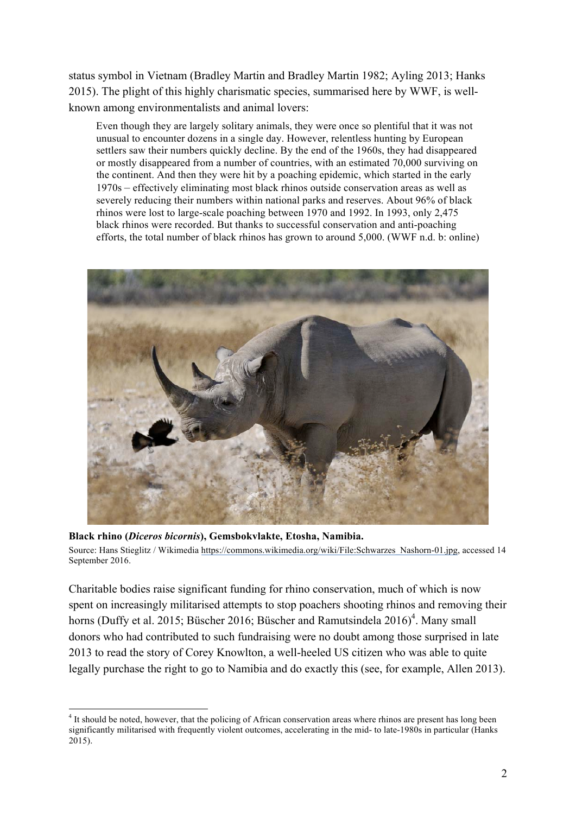status symbol in Vietnam (Bradley Martin and Bradley Martin 1982; Ayling 2013; Hanks 2015). The plight of this highly charismatic species, summarised here by WWF, is wellknown among environmentalists and animal lovers:

Even though they are largely solitary animals, they were once so plentiful that it was not unusual to encounter dozens in a single day. However, relentless hunting by European settlers saw their numbers quickly decline. By the end of the 1960s, they had disappeared or mostly disappeared from a number of countries, with an estimated 70,000 surviving on the continent. And then they were hit by a poaching epidemic, which started in the early 1970s – effectively eliminating most black rhinos outside conservation areas as well as severely reducing their numbers within national parks and reserves. About 96% of black rhinos were lost to large-scale poaching between 1970 and 1992. In 1993, only 2,475 black rhinos were recorded. But thanks to successful conservation and anti-poaching efforts, the total number of black rhinos has grown to around 5,000. (WWF n.d. b: online)



**Black rhino (***Diceros bicornis***), Gemsbokvlakte, Etosha, Namibia.** Source: Hans Stieglitz / Wikimedia https://commons.wikimedia.org/wiki/File:Schwarzes\_Nashorn-01.jpg, accessed 14 September 2016.

Charitable bodies raise significant funding for rhino conservation, much of which is now spent on increasingly militarised attempts to stop poachers shooting rhinos and removing their horns (Duffy et al. 2015; Büscher 2016; Büscher and Ramutsindela 2016)<sup>4</sup>. Many small donors who had contributed to such fundraising were no doubt among those surprised in late 2013 to read the story of Corey Knowlton, a well-heeled US citizen who was able to quite legally purchase the right to go to Namibia and do exactly this (see, for example, Allen 2013).

<sup>&</sup>lt;sup>4</sup> It should be noted, however, that the policing of African conservation areas where rhinos are present has long been significantly militarised with frequently violent outcomes, accelerating in the mid- to late-1980s in particular (Hanks 2015).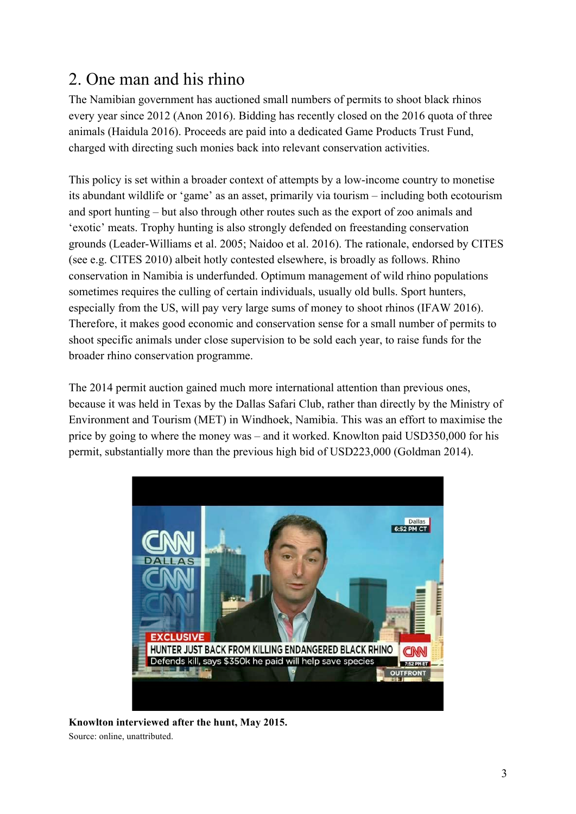## 2. One man and his rhino

The Namibian government has auctioned small numbers of permits to shoot black rhinos every year since 2012 (Anon 2016). Bidding has recently closed on the 2016 quota of three animals (Haidula 2016). Proceeds are paid into a dedicated Game Products Trust Fund, charged with directing such monies back into relevant conservation activities.

This policy is set within a broader context of attempts by a low-income country to monetise its abundant wildlife or 'game' as an asset, primarily via tourism – including both ecotourism and sport hunting – but also through other routes such as the export of zoo animals and 'exotic' meats. Trophy hunting is also strongly defended on freestanding conservation grounds (Leader-Williams et al. 2005; Naidoo et al. 2016). The rationale, endorsed by CITES (see e.g. CITES 2010) albeit hotly contested elsewhere, is broadly as follows. Rhino conservation in Namibia is underfunded. Optimum management of wild rhino populations sometimes requires the culling of certain individuals, usually old bulls. Sport hunters, especially from the US, will pay very large sums of money to shoot rhinos (IFAW 2016). Therefore, it makes good economic and conservation sense for a small number of permits to shoot specific animals under close supervision to be sold each year, to raise funds for the broader rhino conservation programme.

The 2014 permit auction gained much more international attention than previous ones, because it was held in Texas by the Dallas Safari Club, rather than directly by the Ministry of Environment and Tourism (MET) in Windhoek, Namibia. This was an effort to maximise the price by going to where the money was – and it worked. Knowlton paid USD350,000 for his permit, substantially more than the previous high bid of USD223,000 (Goldman 2014).



**Knowlton interviewed after the hunt, May 2015.** Source: online, unattributed.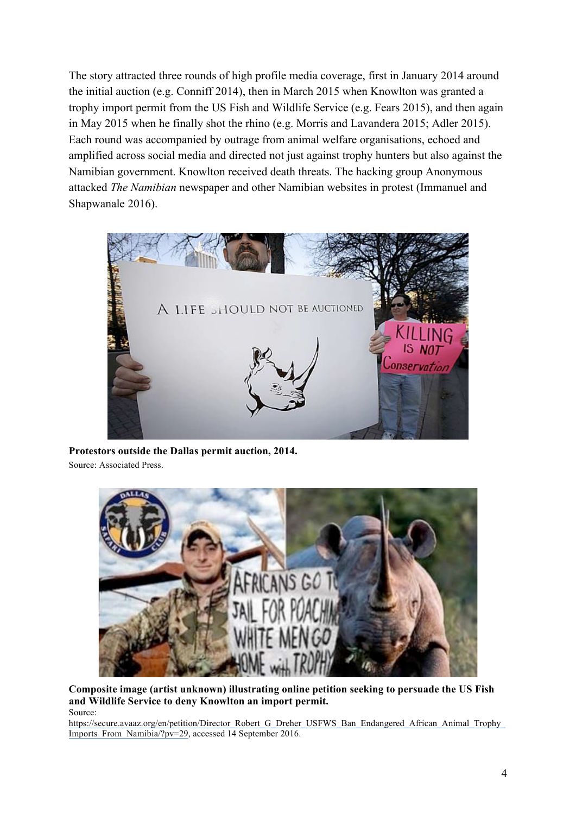The story attracted three rounds of high profile media coverage, first in January 2014 around the initial auction (e.g. Conniff 2014), then in March 2015 when Knowlton was granted a trophy import permit from the US Fish and Wildlife Service (e.g. Fears 2015), and then again in May 2015 when he finally shot the rhino (e.g. Morris and Lavandera 2015; Adler 2015). Each round was accompanied by outrage from animal welfare organisations, echoed and amplified across social media and directed not just against trophy hunters but also against the Namibian government. Knowlton received death threats. The hacking group Anonymous attacked *The Namibian* newspaper and other Namibian websites in protest (Immanuel and Shapwanale 2016).



**Protestors outside the Dallas permit auction, 2014.** Source: Associated Press.



**Composite image (artist unknown) illustrating online petition seeking to persuade the US Fish and Wildlife Service to deny Knowlton an import permit.** Source:

https://secure.avaaz.org/en/petition/Director\_Robert\_G\_Dreher\_USFWS\_Ban\_Endangered\_African\_Animal\_Trophy Imports\_From\_Namibia/?pv=29, accessed 14 September 2016.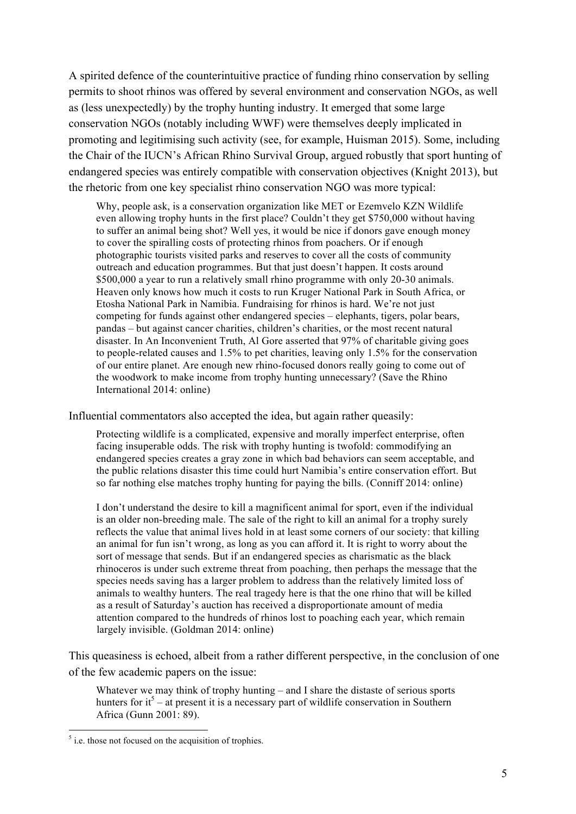A spirited defence of the counterintuitive practice of funding rhino conservation by selling permits to shoot rhinos was offered by several environment and conservation NGOs, as well as (less unexpectedly) by the trophy hunting industry. It emerged that some large conservation NGOs (notably including WWF) were themselves deeply implicated in promoting and legitimising such activity (see, for example, Huisman 2015). Some, including the Chair of the IUCN's African Rhino Survival Group, argued robustly that sport hunting of endangered species was entirely compatible with conservation objectives (Knight 2013), but the rhetoric from one key specialist rhino conservation NGO was more typical:

Why, people ask, is a conservation organization like MET or Ezemvelo KZN Wildlife even allowing trophy hunts in the first place? Couldn't they get \$750,000 without having to suffer an animal being shot? Well yes, it would be nice if donors gave enough money to cover the spiralling costs of protecting rhinos from poachers. Or if enough photographic tourists visited parks and reserves to cover all the costs of community outreach and education programmes. But that just doesn't happen. It costs around \$500,000 a year to run a relatively small rhino programme with only 20-30 animals. Heaven only knows how much it costs to run Kruger National Park in South Africa, or Etosha National Park in Namibia. Fundraising for rhinos is hard. We're not just competing for funds against other endangered species – elephants, tigers, polar bears, pandas – but against cancer charities, children's charities, or the most recent natural disaster. In An Inconvenient Truth, Al Gore asserted that 97% of charitable giving goes to people-related causes and 1.5% to pet charities, leaving only 1.5% for the conservation of our entire planet. Are enough new rhino-focused donors really going to come out of the woodwork to make income from trophy hunting unnecessary? (Save the Rhino International 2014: online)

Influential commentators also accepted the idea, but again rather queasily:

Protecting wildlife is a complicated, expensive and morally imperfect enterprise, often facing insuperable odds. The risk with trophy hunting is twofold: commodifying an endangered species creates a gray zone in which bad behaviors can seem acceptable, and the public relations disaster this time could hurt Namibia's entire conservation effort. But so far nothing else matches trophy hunting for paying the bills. (Conniff 2014: online)

I don't understand the desire to kill a magnificent animal for sport, even if the individual is an older non-breeding male. The sale of the right to kill an animal for a trophy surely reflects the value that animal lives hold in at least some corners of our society: that killing an animal for fun isn't wrong, as long as you can afford it. It is right to worry about the sort of message that sends. But if an endangered species as charismatic as the black rhinoceros is under such extreme threat from poaching, then perhaps the message that the species needs saving has a larger problem to address than the relatively limited loss of animals to wealthy hunters. The real tragedy here is that the one rhino that will be killed as a result of Saturday's auction has received a disproportionate amount of media attention compared to the hundreds of rhinos lost to poaching each year, which remain largely invisible. (Goldman 2014: online)

This queasiness is echoed, albeit from a rather different perspective, in the conclusion of one of the few academic papers on the issue:

Whatever we may think of trophy hunting – and I share the distaste of serious sports hunters for  $i^5$  – at present it is a necessary part of wildlife conservation in Southern Africa (Gunn 2001: 89).

 $<sup>5</sup>$  i.e. those not focused on the acquisition of trophies.</sup>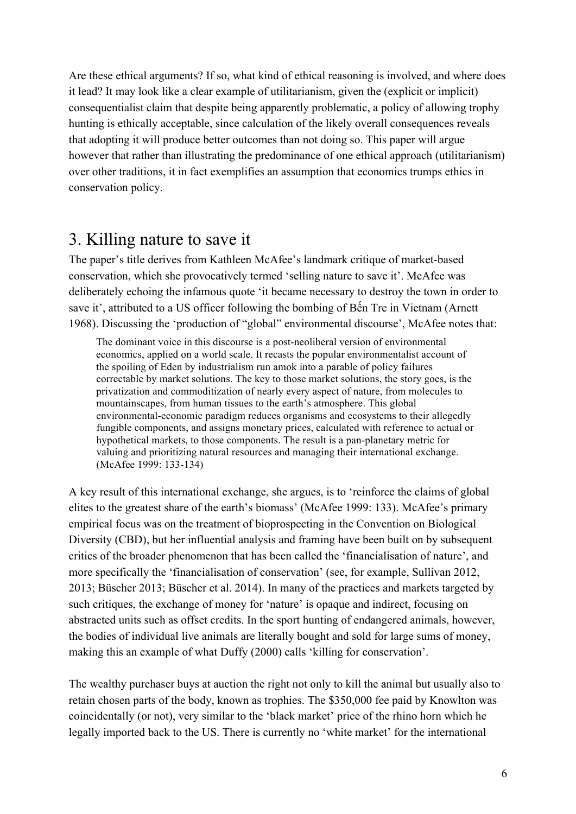Are these ethical arguments? If so, what kind of ethical reasoning is involved, and where does it lead? It may look like a clear example of utilitarianism, given the (explicit or implicit) consequentialist claim that despite being apparently problematic, a policy of allowing trophy hunting is ethically acceptable, since calculation of the likely overall consequences reveals that adopting it will produce better outcomes than not doing so. This paper will argue however that rather than illustrating the predominance of one ethical approach (utilitarianism) over other traditions, it in fact exemplifies an assumption that economics trumps ethics in conservation policy.

#### 3. Killing nature to save it

The paper's title derives from Kathleen McAfee's landmark critique of market-based conservation, which she provocatively termed 'selling nature to save it'. McAfee was deliberately echoing the infamous quote 'it became necessary to destroy the town in order to save it', attributed to a US officer following the bombing of Bến Tre in Vietnam (Arnett 1968). Discussing the 'production of "global" environmental discourse', McAfee notes that:

The dominant voice in this discourse is a post-neoliberal version of environmental economics, applied on a world scale. It recasts the popular environmentalist account of the spoiling of Eden by industrialism run amok into a parable of policy failures correctable by market solutions. The key to those market solutions, the story goes, is the privatization and commoditization of nearly every aspect of nature, from molecules to mountainscapes, from human tissues to the earth's atmosphere. This global environmental-economic paradigm reduces organisms and ecosystems to their allegedly fungible components, and assigns monetary prices, calculated with reference to actual or hypothetical markets, to those components. The result is a pan-planetary metric for valuing and prioritizing natural resources and managing their international exchange. (McAfee 1999: 133-134)

A key result of this international exchange, she argues, is to 'reinforce the claims of global elites to the greatest share of the earth's biomass' (McAfee 1999: 133). McAfee's primary empirical focus was on the treatment of bioprospecting in the Convention on Biological Diversity (CBD), but her influential analysis and framing have been built on by subsequent critics of the broader phenomenon that has been called the 'financialisation of nature', and more specifically the 'financialisation of conservation' (see, for example, Sullivan 2012, 2013; Büscher 2013; Büscher et al. 2014). In many of the practices and markets targeted by such critiques, the exchange of money for 'nature' is opaque and indirect, focusing on abstracted units such as offset credits. In the sport hunting of endangered animals, however, the bodies of individual live animals are literally bought and sold for large sums of money, making this an example of what Duffy (2000) calls 'killing for conservation'.

The wealthy purchaser buys at auction the right not only to kill the animal but usually also to retain chosen parts of the body, known as trophies. The \$350,000 fee paid by Knowlton was coincidentally (or not), very similar to the 'black market' price of the rhino horn which he legally imported back to the US. There is currently no 'white market' for the international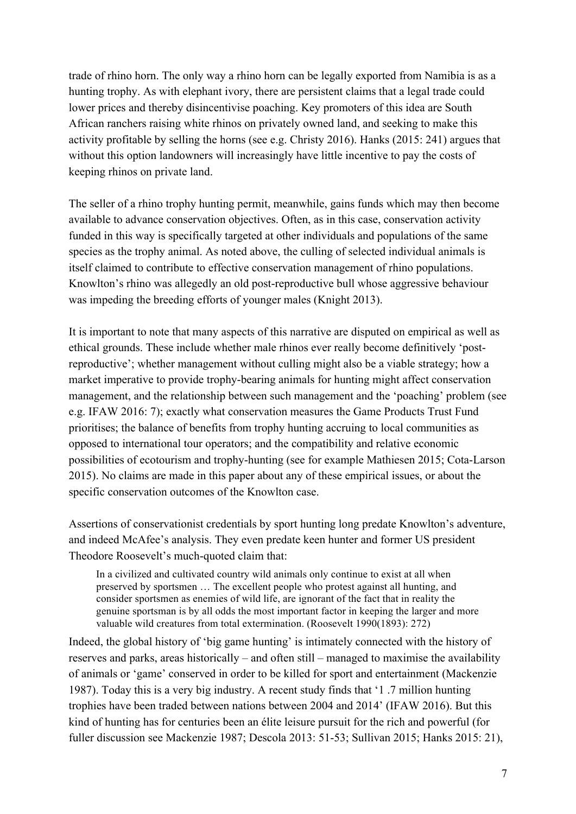trade of rhino horn. The only way a rhino horn can be legally exported from Namibia is as a hunting trophy. As with elephant ivory, there are persistent claims that a legal trade could lower prices and thereby disincentivise poaching. Key promoters of this idea are South African ranchers raising white rhinos on privately owned land, and seeking to make this activity profitable by selling the horns (see e.g. Christy 2016). Hanks (2015: 241) argues that without this option landowners will increasingly have little incentive to pay the costs of keeping rhinos on private land.

The seller of a rhino trophy hunting permit, meanwhile, gains funds which may then become available to advance conservation objectives. Often, as in this case, conservation activity funded in this way is specifically targeted at other individuals and populations of the same species as the trophy animal. As noted above, the culling of selected individual animals is itself claimed to contribute to effective conservation management of rhino populations. Knowlton's rhino was allegedly an old post-reproductive bull whose aggressive behaviour was impeding the breeding efforts of younger males (Knight 2013).

It is important to note that many aspects of this narrative are disputed on empirical as well as ethical grounds. These include whether male rhinos ever really become definitively 'postreproductive'; whether management without culling might also be a viable strategy; how a market imperative to provide trophy-bearing animals for hunting might affect conservation management, and the relationship between such management and the 'poaching' problem (see e.g. IFAW 2016: 7); exactly what conservation measures the Game Products Trust Fund prioritises; the balance of benefits from trophy hunting accruing to local communities as opposed to international tour operators; and the compatibility and relative economic possibilities of ecotourism and trophy-hunting (see for example Mathiesen 2015; Cota-Larson 2015). No claims are made in this paper about any of these empirical issues, or about the specific conservation outcomes of the Knowlton case.

Assertions of conservationist credentials by sport hunting long predate Knowlton's adventure, and indeed McAfee's analysis. They even predate keen hunter and former US president Theodore Roosevelt's much-quoted claim that:

In a civilized and cultivated country wild animals only continue to exist at all when preserved by sportsmen … The excellent people who protest against all hunting, and consider sportsmen as enemies of wild life, are ignorant of the fact that in reality the genuine sportsman is by all odds the most important factor in keeping the larger and more valuable wild creatures from total extermination. (Roosevelt 1990(1893): 272)

Indeed, the global history of 'big game hunting' is intimately connected with the history of reserves and parks, areas historically – and often still – managed to maximise the availability of animals or 'game' conserved in order to be killed for sport and entertainment (Mackenzie 1987). Today this is a very big industry. A recent study finds that '1 .7 million hunting trophies have been traded between nations between 2004 and 2014' (IFAW 2016). But this kind of hunting has for centuries been an élite leisure pursuit for the rich and powerful (for fuller discussion see Mackenzie 1987; Descola 2013: 51-53; Sullivan 2015; Hanks 2015: 21),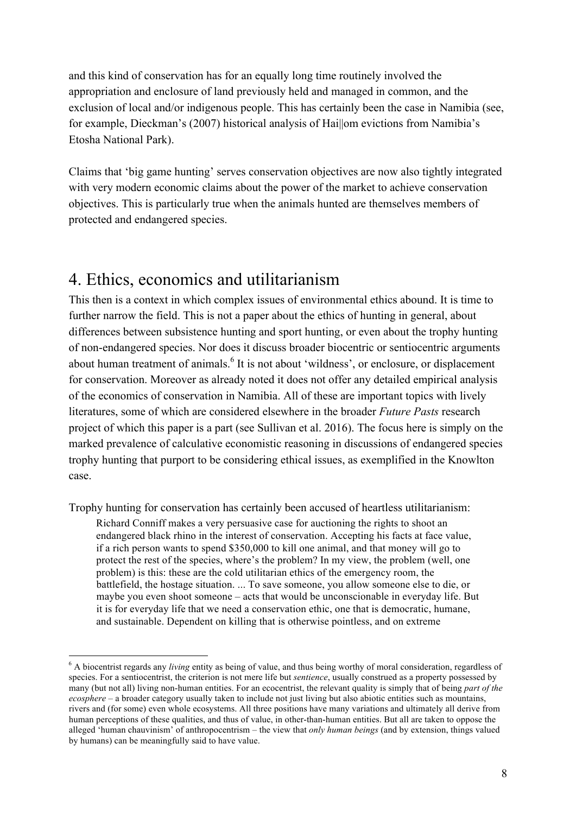and this kind of conservation has for an equally long time routinely involved the appropriation and enclosure of land previously held and managed in common, and the exclusion of local and/or indigenous people. This has certainly been the case in Namibia (see, for example, Dieckman's (2007) historical analysis of Hai||om evictions from Namibia's Etosha National Park).

Claims that 'big game hunting' serves conservation objectives are now also tightly integrated with very modern economic claims about the power of the market to achieve conservation objectives. This is particularly true when the animals hunted are themselves members of protected and endangered species.

### 4. Ethics, economics and utilitarianism

This then is a context in which complex issues of environmental ethics abound. It is time to further narrow the field. This is not a paper about the ethics of hunting in general, about differences between subsistence hunting and sport hunting, or even about the trophy hunting of non-endangered species. Nor does it discuss broader biocentric or sentiocentric arguments about human treatment of animals.<sup>6</sup> It is not about 'wildness', or enclosure, or displacement for conservation. Moreover as already noted it does not offer any detailed empirical analysis of the economics of conservation in Namibia. All of these are important topics with lively literatures, some of which are considered elsewhere in the broader *Future Pasts* research project of which this paper is a part (see Sullivan et al. 2016). The focus here is simply on the marked prevalence of calculative economistic reasoning in discussions of endangered species trophy hunting that purport to be considering ethical issues, as exemplified in the Knowlton case.

Trophy hunting for conservation has certainly been accused of heartless utilitarianism:

Richard Conniff makes a very persuasive case for auctioning the rights to shoot an endangered black rhino in the interest of conservation. Accepting his facts at face value, if a rich person wants to spend \$350,000 to kill one animal, and that money will go to protect the rest of the species, where's the problem? In my view, the problem (well, one problem) is this: these are the cold utilitarian ethics of the emergency room, the battlefield, the hostage situation. ... To save someone, you allow someone else to die, or maybe you even shoot someone – acts that would be unconscionable in everyday life. But it is for everyday life that we need a conservation ethic, one that is democratic, humane, and sustainable. Dependent on killing that is otherwise pointless, and on extreme

<sup>&</sup>lt;sup>6</sup> A biocentrist regards any *living* entity as being of value, and thus being worthy of moral consideration, regardless of species. For a sentiocentrist, the criterion is not mere life but *sentience*, usually construed as a property possessed by many (but not all) living non-human entities. For an ecocentrist, the relevant quality is simply that of being *part of the ecosphere* – a broader category usually taken to include not just living but also abiotic entities such as mountains, rivers and (for some) even whole ecosystems. All three positions have many variations and ultimately all derive from human perceptions of these qualities, and thus of value, in other-than-human entities. But all are taken to oppose the alleged 'human chauvinism' of anthropocentrism – the view that *only human beings* (and by extension, things valued by humans) can be meaningfully said to have value.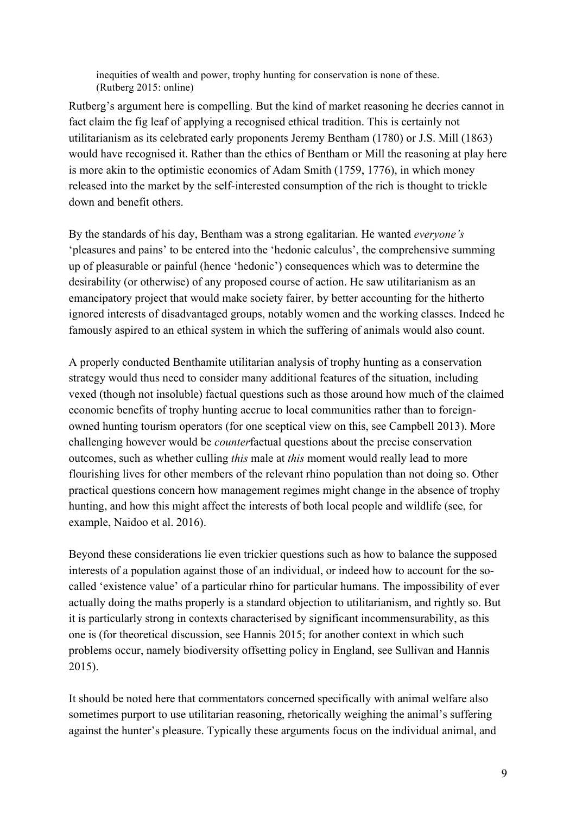inequities of wealth and power, trophy hunting for conservation is none of these. (Rutberg 2015: online)

Rutberg's argument here is compelling. But the kind of market reasoning he decries cannot in fact claim the fig leaf of applying a recognised ethical tradition. This is certainly not utilitarianism as its celebrated early proponents Jeremy Bentham (1780) or J.S. Mill (1863) would have recognised it. Rather than the ethics of Bentham or Mill the reasoning at play here is more akin to the optimistic economics of Adam Smith (1759, 1776), in which money released into the market by the self-interested consumption of the rich is thought to trickle down and benefit others.

By the standards of his day, Bentham was a strong egalitarian. He wanted *everyone's* 'pleasures and pains' to be entered into the 'hedonic calculus', the comprehensive summing up of pleasurable or painful (hence 'hedonic') consequences which was to determine the desirability (or otherwise) of any proposed course of action. He saw utilitarianism as an emancipatory project that would make society fairer, by better accounting for the hitherto ignored interests of disadvantaged groups, notably women and the working classes. Indeed he famously aspired to an ethical system in which the suffering of animals would also count.

A properly conducted Benthamite utilitarian analysis of trophy hunting as a conservation strategy would thus need to consider many additional features of the situation, including vexed (though not insoluble) factual questions such as those around how much of the claimed economic benefits of trophy hunting accrue to local communities rather than to foreignowned hunting tourism operators (for one sceptical view on this, see Campbell 2013). More challenging however would be *counter*factual questions about the precise conservation outcomes, such as whether culling *this* male at *this* moment would really lead to more flourishing lives for other members of the relevant rhino population than not doing so. Other practical questions concern how management regimes might change in the absence of trophy hunting, and how this might affect the interests of both local people and wildlife (see, for example, Naidoo et al. 2016).

Beyond these considerations lie even trickier questions such as how to balance the supposed interests of a population against those of an individual, or indeed how to account for the socalled 'existence value' of a particular rhino for particular humans. The impossibility of ever actually doing the maths properly is a standard objection to utilitarianism, and rightly so. But it is particularly strong in contexts characterised by significant incommensurability, as this one is (for theoretical discussion, see Hannis 2015; for another context in which such problems occur, namely biodiversity offsetting policy in England, see Sullivan and Hannis 2015).

It should be noted here that commentators concerned specifically with animal welfare also sometimes purport to use utilitarian reasoning, rhetorically weighing the animal's suffering against the hunter's pleasure. Typically these arguments focus on the individual animal, and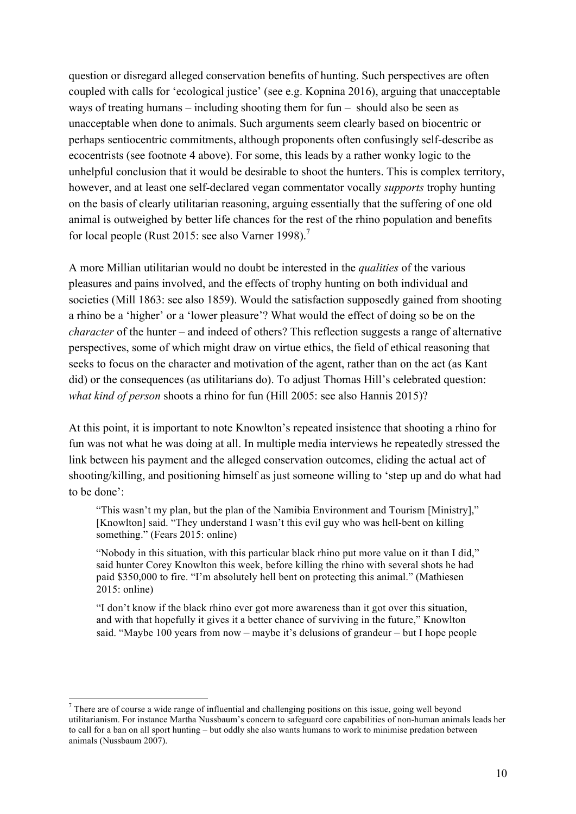question or disregard alleged conservation benefits of hunting. Such perspectives are often coupled with calls for 'ecological justice' (see e.g. Kopnina 2016), arguing that unacceptable ways of treating humans – including shooting them for fun – should also be seen as unacceptable when done to animals. Such arguments seem clearly based on biocentric or perhaps sentiocentric commitments, although proponents often confusingly self-describe as ecocentrists (see footnote 4 above). For some, this leads by a rather wonky logic to the unhelpful conclusion that it would be desirable to shoot the hunters. This is complex territory, however, and at least one self-declared vegan commentator vocally *supports* trophy hunting on the basis of clearly utilitarian reasoning, arguing essentially that the suffering of one old animal is outweighed by better life chances for the rest of the rhino population and benefits for local people (Rust 2015: see also Varner 1998).<sup>7</sup>

A more Millian utilitarian would no doubt be interested in the *qualities* of the various pleasures and pains involved, and the effects of trophy hunting on both individual and societies (Mill 1863: see also 1859). Would the satisfaction supposedly gained from shooting a rhino be a 'higher' or a 'lower pleasure'? What would the effect of doing so be on the *character* of the hunter – and indeed of others? This reflection suggests a range of alternative perspectives, some of which might draw on virtue ethics, the field of ethical reasoning that seeks to focus on the character and motivation of the agent, rather than on the act (as Kant did) or the consequences (as utilitarians do). To adjust Thomas Hill's celebrated question: *what kind of person* shoots a rhino for fun (Hill 2005: see also Hannis 2015)?

At this point, it is important to note Knowlton's repeated insistence that shooting a rhino for fun was not what he was doing at all. In multiple media interviews he repeatedly stressed the link between his payment and the alleged conservation outcomes, eliding the actual act of shooting/killing, and positioning himself as just someone willing to 'step up and do what had to be done':

"This wasn't my plan, but the plan of the Namibia Environment and Tourism [Ministry]," [Knowlton] said. "They understand I wasn't this evil guy who was hell-bent on killing something." (Fears 2015: online)

"Nobody in this situation, with this particular black rhino put more value on it than I did," said hunter Corey Knowlton this week, before killing the rhino with several shots he had paid \$350,000 to fire. "I'm absolutely hell bent on protecting this animal." (Mathiesen 2015: online)

"I don't know if the black rhino ever got more awareness than it got over this situation, and with that hopefully it gives it a better chance of surviving in the future," Knowlton said. "Maybe 100 years from now – maybe it's delusions of grandeur – but I hope people

<sup>&</sup>lt;sup>7</sup> There are of course a wide range of influential and challenging positions on this issue, going well beyond utilitarianism. For instance Martha Nussbaum's concern to safeguard core capabilities of non-human animals leads her to call for a ban on all sport hunting – but oddly she also wants humans to work to minimise predation between animals (Nussbaum 2007).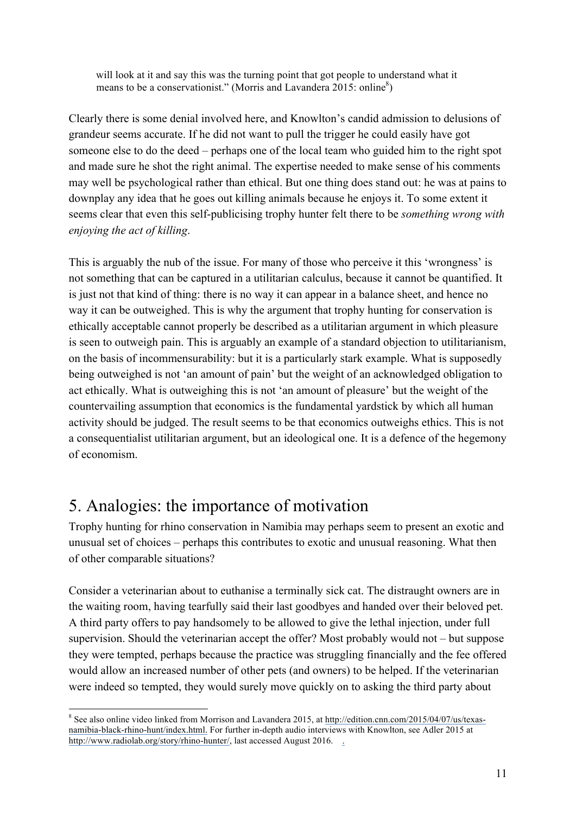will look at it and say this was the turning point that got people to understand what it means to be a conservationist." (Morris and Lavandera  $2015$ : online<sup>8</sup>)

Clearly there is some denial involved here, and Knowlton's candid admission to delusions of grandeur seems accurate. If he did not want to pull the trigger he could easily have got someone else to do the deed – perhaps one of the local team who guided him to the right spot and made sure he shot the right animal. The expertise needed to make sense of his comments may well be psychological rather than ethical. But one thing does stand out: he was at pains to downplay any idea that he goes out killing animals because he enjoys it. To some extent it seems clear that even this self-publicising trophy hunter felt there to be *something wrong with enjoying the act of killing*.

This is arguably the nub of the issue. For many of those who perceive it this 'wrongness' is not something that can be captured in a utilitarian calculus, because it cannot be quantified. It is just not that kind of thing: there is no way it can appear in a balance sheet, and hence no way it can be outweighed. This is why the argument that trophy hunting for conservation is ethically acceptable cannot properly be described as a utilitarian argument in which pleasure is seen to outweigh pain. This is arguably an example of a standard objection to utilitarianism, on the basis of incommensurability: but it is a particularly stark example. What is supposedly being outweighed is not 'an amount of pain' but the weight of an acknowledged obligation to act ethically. What is outweighing this is not 'an amount of pleasure' but the weight of the countervailing assumption that economics is the fundamental yardstick by which all human activity should be judged. The result seems to be that economics outweighs ethics. This is not a consequentialist utilitarian argument, but an ideological one. It is a defence of the hegemony of economism.

### 5. Analogies: the importance of motivation

Trophy hunting for rhino conservation in Namibia may perhaps seem to present an exotic and unusual set of choices – perhaps this contributes to exotic and unusual reasoning. What then of other comparable situations?

Consider a veterinarian about to euthanise a terminally sick cat. The distraught owners are in the waiting room, having tearfully said their last goodbyes and handed over their beloved pet. A third party offers to pay handsomely to be allowed to give the lethal injection, under full supervision. Should the veterinarian accept the offer? Most probably would not – but suppose they were tempted, perhaps because the practice was struggling financially and the fee offered would allow an increased number of other pets (and owners) to be helped. If the veterinarian were indeed so tempted, they would surely move quickly on to asking the third party about

 <sup>8</sup> See also online video linked from Morrison and Lavandera 2015, at http://edition.cnn.com/2015/04/07/us/texasnamibia-black-rhino-hunt/index.html. For further in-depth audio interviews with Knowlton, see Adler 2015 at http://www.radiolab.org/story/rhino-hunter/, last accessed August 2016. .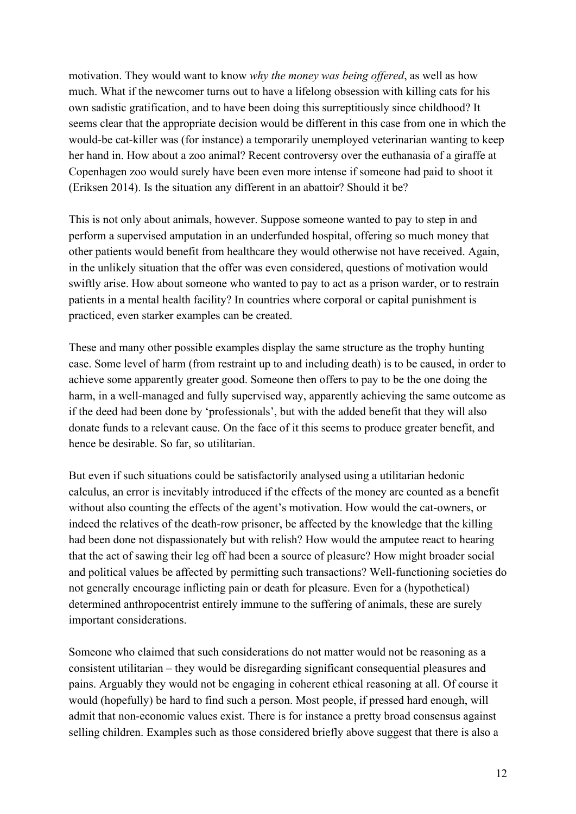motivation. They would want to know *why the money was being offered*, as well as how much. What if the newcomer turns out to have a lifelong obsession with killing cats for his own sadistic gratification, and to have been doing this surreptitiously since childhood? It seems clear that the appropriate decision would be different in this case from one in which the would-be cat-killer was (for instance) a temporarily unemployed veterinarian wanting to keep her hand in. How about a zoo animal? Recent controversy over the euthanasia of a giraffe at Copenhagen zoo would surely have been even more intense if someone had paid to shoot it (Eriksen 2014). Is the situation any different in an abattoir? Should it be?

This is not only about animals, however. Suppose someone wanted to pay to step in and perform a supervised amputation in an underfunded hospital, offering so much money that other patients would benefit from healthcare they would otherwise not have received. Again, in the unlikely situation that the offer was even considered, questions of motivation would swiftly arise. How about someone who wanted to pay to act as a prison warder, or to restrain patients in a mental health facility? In countries where corporal or capital punishment is practiced, even starker examples can be created.

These and many other possible examples display the same structure as the trophy hunting case. Some level of harm (from restraint up to and including death) is to be caused, in order to achieve some apparently greater good. Someone then offers to pay to be the one doing the harm, in a well-managed and fully supervised way, apparently achieving the same outcome as if the deed had been done by 'professionals', but with the added benefit that they will also donate funds to a relevant cause. On the face of it this seems to produce greater benefit, and hence be desirable. So far, so utilitarian.

But even if such situations could be satisfactorily analysed using a utilitarian hedonic calculus, an error is inevitably introduced if the effects of the money are counted as a benefit without also counting the effects of the agent's motivation. How would the cat-owners, or indeed the relatives of the death-row prisoner, be affected by the knowledge that the killing had been done not dispassionately but with relish? How would the amputee react to hearing that the act of sawing their leg off had been a source of pleasure? How might broader social and political values be affected by permitting such transactions? Well-functioning societies do not generally encourage inflicting pain or death for pleasure. Even for a (hypothetical) determined anthropocentrist entirely immune to the suffering of animals, these are surely important considerations.

Someone who claimed that such considerations do not matter would not be reasoning as a consistent utilitarian – they would be disregarding significant consequential pleasures and pains. Arguably they would not be engaging in coherent ethical reasoning at all. Of course it would (hopefully) be hard to find such a person. Most people, if pressed hard enough, will admit that non-economic values exist. There is for instance a pretty broad consensus against selling children. Examples such as those considered briefly above suggest that there is also a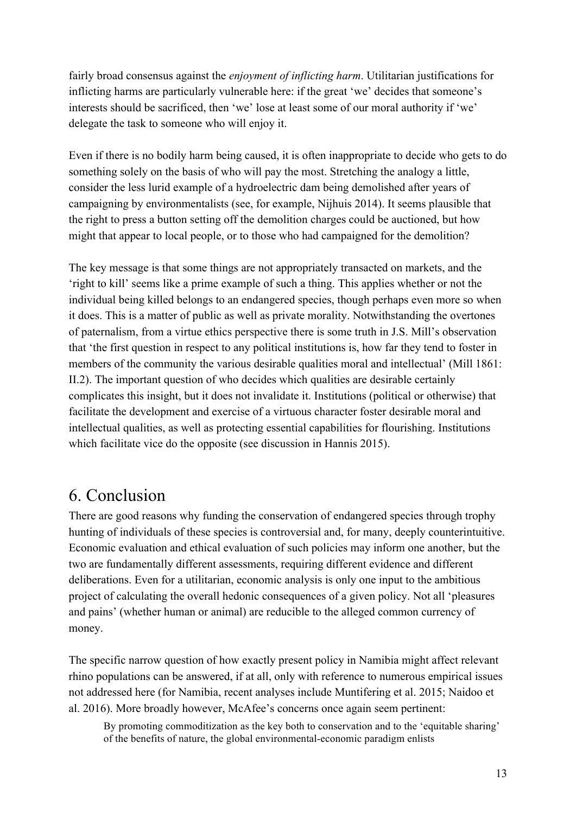fairly broad consensus against the *enjoyment of inflicting harm*. Utilitarian justifications for inflicting harms are particularly vulnerable here: if the great 'we' decides that someone's interests should be sacrificed, then 'we' lose at least some of our moral authority if 'we' delegate the task to someone who will enjoy it.

Even if there is no bodily harm being caused, it is often inappropriate to decide who gets to do something solely on the basis of who will pay the most. Stretching the analogy a little, consider the less lurid example of a hydroelectric dam being demolished after years of campaigning by environmentalists (see, for example, Nijhuis 2014). It seems plausible that the right to press a button setting off the demolition charges could be auctioned, but how might that appear to local people, or to those who had campaigned for the demolition?

The key message is that some things are not appropriately transacted on markets, and the 'right to kill' seems like a prime example of such a thing. This applies whether or not the individual being killed belongs to an endangered species, though perhaps even more so when it does. This is a matter of public as well as private morality. Notwithstanding the overtones of paternalism, from a virtue ethics perspective there is some truth in J.S. Mill's observation that 'the first question in respect to any political institutions is, how far they tend to foster in members of the community the various desirable qualities moral and intellectual' (Mill 1861: II.2). The important question of who decides which qualities are desirable certainly complicates this insight, but it does not invalidate it. Institutions (political or otherwise) that facilitate the development and exercise of a virtuous character foster desirable moral and intellectual qualities, as well as protecting essential capabilities for flourishing. Institutions which facilitate vice do the opposite (see discussion in Hannis 2015).

### 6. Conclusion

There are good reasons why funding the conservation of endangered species through trophy hunting of individuals of these species is controversial and, for many, deeply counterintuitive. Economic evaluation and ethical evaluation of such policies may inform one another, but the two are fundamentally different assessments, requiring different evidence and different deliberations. Even for a utilitarian, economic analysis is only one input to the ambitious project of calculating the overall hedonic consequences of a given policy. Not all 'pleasures and pains' (whether human or animal) are reducible to the alleged common currency of money.

The specific narrow question of how exactly present policy in Namibia might affect relevant rhino populations can be answered, if at all, only with reference to numerous empirical issues not addressed here (for Namibia, recent analyses include Muntifering et al. 2015; Naidoo et al. 2016). More broadly however, McAfee's concerns once again seem pertinent:

By promoting commoditization as the key both to conservation and to the 'equitable sharing' of the benefits of nature, the global environmental-economic paradigm enlists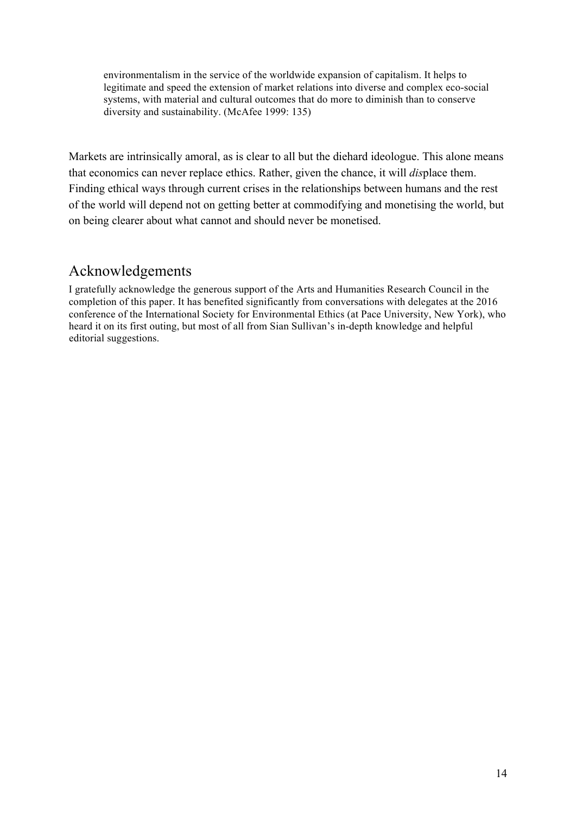environmentalism in the service of the worldwide expansion of capitalism. It helps to legitimate and speed the extension of market relations into diverse and complex eco-social systems, with material and cultural outcomes that do more to diminish than to conserve diversity and sustainability. (McAfee 1999: 135)

Markets are intrinsically amoral, as is clear to all but the diehard ideologue. This alone means that economics can never replace ethics. Rather, given the chance, it will *dis*place them. Finding ethical ways through current crises in the relationships between humans and the rest of the world will depend not on getting better at commodifying and monetising the world, but on being clearer about what cannot and should never be monetised.

#### Acknowledgements

I gratefully acknowledge the generous support of the Arts and Humanities Research Council in the completion of this paper. It has benefited significantly from conversations with delegates at the 2016 conference of the International Society for Environmental Ethics (at Pace University, New York), who heard it on its first outing, but most of all from Sian Sullivan's in-depth knowledge and helpful editorial suggestions.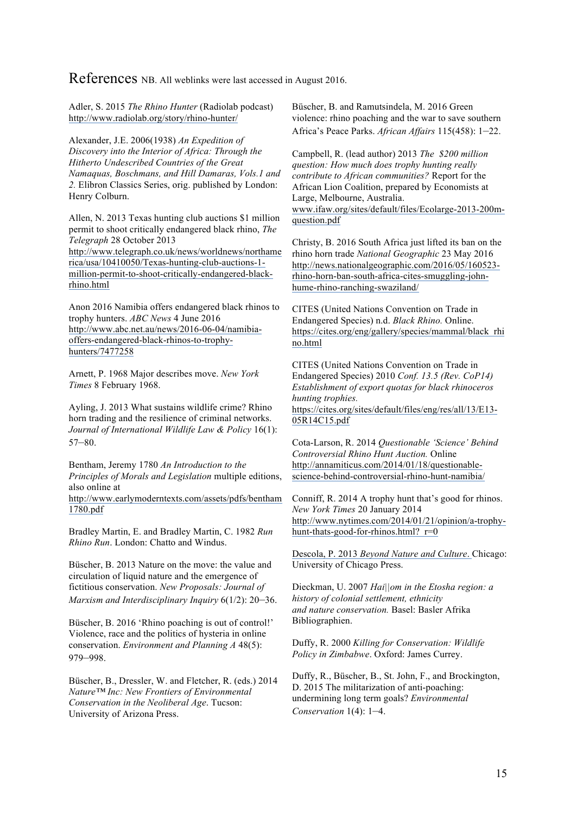References NB. All weblinks were last accessed in August 2016.

Adler, S. 2015 *The Rhino Hunter* (Radiolab podcast) http://www.radiolab.org/story/rhino-hunter/

Alexander, J.E. 2006(1938) *An Expedition of Discovery into the Interior of Africa: Through the Hitherto Undescribed Countries of the Great Namaquas, Boschmans, and Hill Damaras, Vols.1 and 2.* Elibron Classics Series, orig. published by London: Henry Colburn.

Allen, N. 2013 Texas hunting club auctions \$1 million permit to shoot critically endangered black rhino, *The Telegraph* 28 October 2013

http://www.telegraph.co.uk/news/worldnews/northame rica/usa/10410050/Texas-hunting-club-auctions-1 million-permit-to-shoot-critically-endangered-blackrhino.html

Anon 2016 Namibia offers endangered black rhinos to trophy hunters. *ABC News* 4 June 2016 http://www.abc.net.au/news/2016-06-04/namibiaoffers-endangered-black-rhinos-to-trophyhunters/7477258

Arnett, P. 1968 Major describes move. *New York Times* 8 February 1968.

Ayling, J. 2013 What sustains wildlife crime? Rhino horn trading and the resilience of criminal networks. *Journal of International Wildlife Law & Policy* 16(1): 57–80.

Bentham, Jeremy 1780 *An Introduction to the Principles of Morals and Legislation* multiple editions, also online at

http://www.earlymoderntexts.com/assets/pdfs/bentham 1780.pdf

Bradley Martin, E. and Bradley Martin, C. 1982 *Run Rhino Run*. London: Chatto and Windus.

Büscher, B. 2013 Nature on the move: the value and circulation of liquid nature and the emergence of fictitious conservation. *New Proposals: Journal of Marxism and Interdisciplinary Inquiry* 6(1/2): 20–36.

Büscher, B. 2016 'Rhino poaching is out of control!' Violence, race and the politics of hysteria in online conservation. *Environment and Planning A* 48(5): 979–998.

Büscher, B., Dressler, W. and Fletcher, R. (eds.) 2014 *Nature™ Inc: New Frontiers of Environmental Conservation in the Neoliberal Age*. Tucson: University of Arizona Press.

Büscher, B. and Ramutsindela, M. 2016 Green violence: rhino poaching and the war to save southern Africa's Peace Parks. *African Affairs* 115(458): 1–22.

Campbell, R. (lead author) 2013 *The \$200 million question: How much does trophy hunting really contribute to African communities?* Report for the African Lion Coalition, prepared by Economists at Large, Melbourne, Australia. www.ifaw.org/sites/default/files/Ecolarge-2013-200mquestion.pdf

Christy, B. 2016 South Africa just lifted its ban on the rhino horn trade *National Geographic* 23 May 2016 http://news.nationalgeographic.com/2016/05/160523 rhino-horn-ban-south-africa-cites-smuggling-johnhume-rhino-ranching-swaziland/

CITES (United Nations Convention on Trade in Endangered Species) n.d. *Black Rhino.* Online. https://cites.org/eng/gallery/species/mammal/black\_rhi no.html

CITES (United Nations Convention on Trade in Endangered Species) 2010 *Conf. 13.5 (Rev. CoP14) Establishment of export quotas for black rhinoceros hunting trophies.* https://cites.org/sites/default/files/eng/res/all/13/E13- 05R14C15.pdf

Cota-Larson, R. 2014 *Questionable 'Science' Behind Controversial Rhino Hunt Auction.* Online http://annamiticus.com/2014/01/18/questionablescience-behind-controversial-rhino-hunt-namibia/

Conniff, R. 2014 A trophy hunt that's good for rhinos. *New York Times* 20 January 2014 http://www.nytimes.com/2014/01/21/opinion/a-trophyhunt-thats-good-for-rhinos.html? r=0

Descola, P. 2013 *Beyond Nature and Culture*. Chicago: University of Chicago Press.

Dieckman, U. 2007 *Hai||om in the Etosha region: a history of colonial settlement, ethnicity and nature conservation.* Basel: Basler Afrika Bibliographien.

Duffy, R. 2000 *Killing for Conservation: Wildlife Policy in Zimbabwe*. Oxford: James Currey.

Duffy, R., Büscher, B., St. John, F., and Brockington, D. 2015 The militarization of anti-poaching: undermining long term goals? *Environmental Conservation* 1(4): 1–4.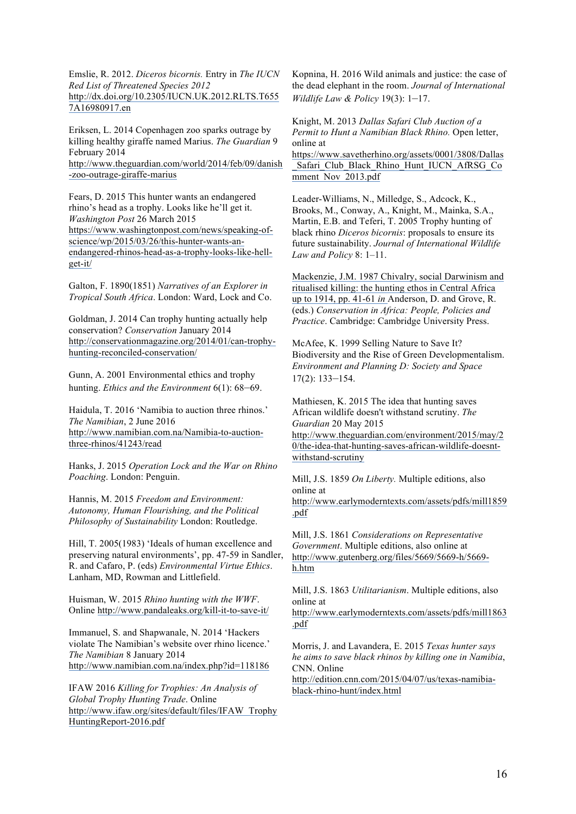Emslie, R. 2012. *Diceros bicornis.* Entry in *The IUCN Red List of Threatened Species 2012* http://dx.doi.org/10.2305/IUCN.UK.2012.RLTS.T655 7A16980917.en

Eriksen, L. 2014 Copenhagen zoo sparks outrage by killing healthy giraffe named Marius. *The Guardian* 9 February 2014 http://www.theguardian.com/world/2014/feb/09/danish -zoo-outrage-giraffe-marius

Fears, D. 2015 This hunter wants an endangered rhino's head as a trophy. Looks like he'll get it. *Washington Post* 26 March 2015 https://www.washingtonpost.com/news/speaking-ofscience/wp/2015/03/26/this-hunter-wants-anendangered-rhinos-head-as-a-trophy-looks-like-hellget-it/

Galton, F. 1890(1851) *Narratives of an Explorer in Tropical South Africa*. London: Ward, Lock and Co.

Goldman, J. 2014 Can trophy hunting actually help conservation? *Conservation* January 2014 http://conservationmagazine.org/2014/01/can-trophyhunting-reconciled-conservation/

Gunn, A. 2001 Environmental ethics and trophy hunting. *Ethics and the Environment* 6(1): 68–69.

Haidula, T. 2016 'Namibia to auction three rhinos.' *The Namibian*, 2 June 2016 http://www.namibian.com.na/Namibia-to-auctionthree-rhinos/41243/read

Hanks, J. 2015 *Operation Lock and the War on Rhino Poaching*. London: Penguin.

Hannis, M. 2015 *Freedom and Environment: Autonomy, Human Flourishing, and the Political Philosophy of Sustainability* London: Routledge.

Hill, T. 2005(1983) 'Ideals of human excellence and preserving natural environments', pp. 47-59 in Sandler, R. and Cafaro, P. (eds) *Environmental Virtue Ethics*. Lanham, MD, Rowman and Littlefield.

Huisman, W. 2015 *Rhino hunting with the WWF*. Online http://www.pandaleaks.org/kill-it-to-save-it/

Immanuel, S. and Shapwanale, N. 2014 'Hackers violate The Namibian's website over rhino licence.' *The Namibian* 8 January 2014 http://www.namibian.com.na/index.php?id=118186

IFAW 2016 *Killing for Trophies: An Analysis of Global Trophy Hunting Trade*. Online http://www.ifaw.org/sites/default/files/IFAW\_Trophy HuntingReport-2016.pdf

Kopnina, H. 2016 Wild animals and justice: the case of the dead elephant in the room. *Journal of International Wildlife Law & Policy* 19(3): 1–17.

Knight, M. 2013 *Dallas Safari Club Auction of a Permit to Hunt a Namibian Black Rhino.* Open letter, online at

https://www.savetherhino.org/assets/0001/3808/Dallas \_Safari\_Club\_Black\_Rhino\_Hunt\_IUCN\_AfRSG\_Co mment\_Nov\_2013.pdf

Leader-Williams, N., Milledge, S., Adcock, K., Brooks, M., Conway, A., Knight, M., Mainka, S.A., Martin, E.B. and Teferi, T. 2005 Trophy hunting of black rhino *Diceros bicornis*: proposals to ensure its future sustainability. *Journal of International Wildlife Law and Policy* 8: 1–11.

Mackenzie, J.M. 1987 Chivalry, social Darwinism and ritualised killing: the hunting ethos in Central Africa up to 1914, pp. 41-61 *in* Anderson, D. and Grove, R. (eds.) *Conservation in Africa: People, Policies and Practice*. Cambridge: Cambridge University Press.

McAfee, K. 1999 Selling Nature to Save It? Biodiversity and the Rise of Green Developmentalism. *Environment and Planning D: Society and Space* 17(2): 133–154.

Mathiesen, K. 2015 The idea that hunting saves African wildlife doesn't withstand scrutiny. *The Guardian* 20 May 2015 http://www.theguardian.com/environment/2015/may/2

0/the-idea-that-hunting-saves-african-wildlife-doesntwithstand-scrutiny

Mill, J.S. 1859 *On Liberty.* Multiple editions, also online at

http://www.earlymoderntexts.com/assets/pdfs/mill1859 .pdf

Mill, J.S. 1861 *Considerations on Representative Government*. Multiple editions, also online at http://www.gutenberg.org/files/5669/5669-h/5669 h.htm

Mill, J.S. 1863 *Utilitarianism*. Multiple editions, also online at

http://www.earlymoderntexts.com/assets/pdfs/mill1863 .pdf

Morris, J. and Lavandera, E. 2015 *Texas hunter says he aims to save black rhinos by killing one in Namibia*, CNN. Online

http://edition.cnn.com/2015/04/07/us/texas-namibiablack-rhino-hunt/index.html